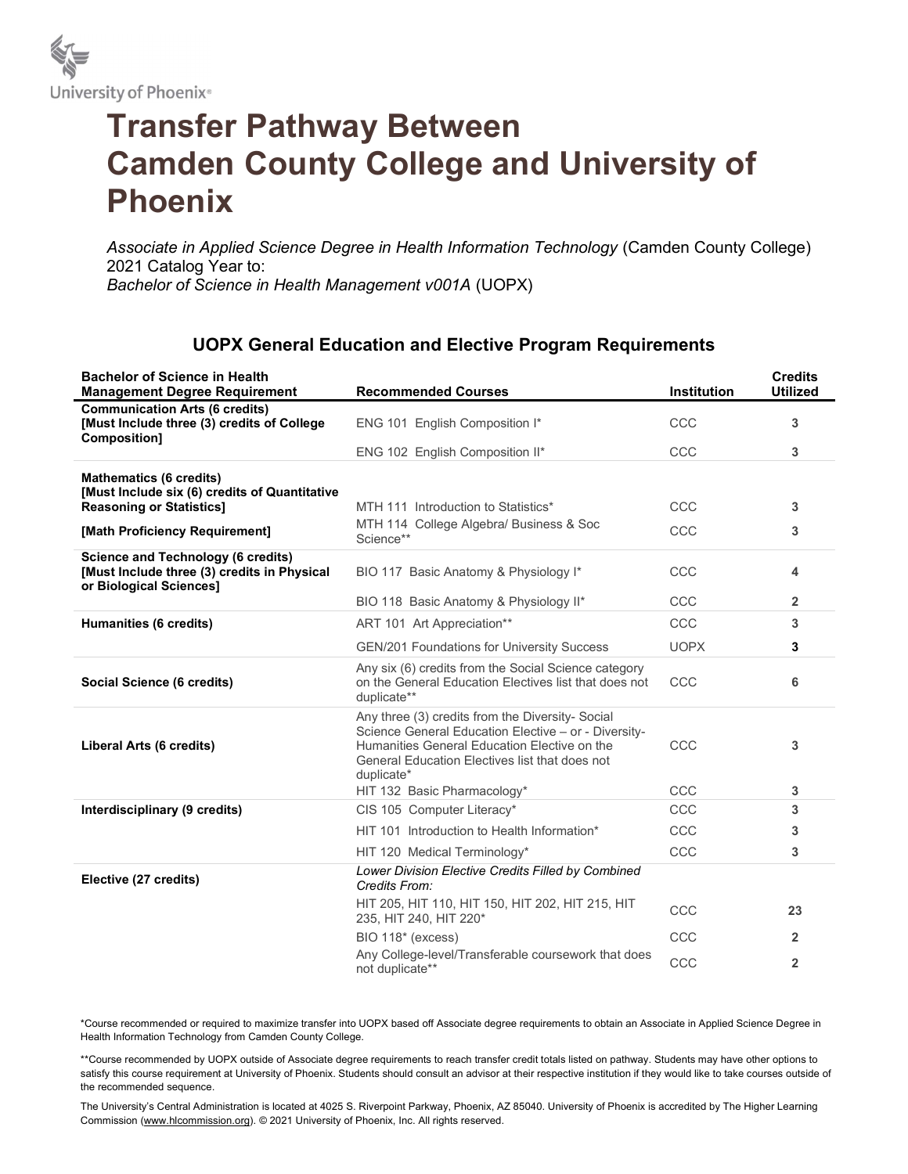

## Transfer Pathway Between Camden County College and University of Phoenix

Associate in Applied Science Degree in Health Information Technology (Camden County College) 2021 Catalog Year to: Bachelor of Science in Health Management v001A (UOPX)

## UOPX General Education and Elective Program Requirements

| <b>Bachelor of Science in Health</b><br><b>Management Degree Requirement</b>                                        | <b>Recommended Courses</b>                                                                                                                                                                                               | <b>Institution</b> | <b>Credits</b><br><b>Utilized</b> |
|---------------------------------------------------------------------------------------------------------------------|--------------------------------------------------------------------------------------------------------------------------------------------------------------------------------------------------------------------------|--------------------|-----------------------------------|
| <b>Communication Arts (6 credits)</b><br>[Must Include three (3) credits of College<br>Composition]                 | ENG 101 English Composition I*                                                                                                                                                                                           | CCC                | 3                                 |
|                                                                                                                     | ENG 102 English Composition II*                                                                                                                                                                                          | CCC                | 3                                 |
| <b>Mathematics (6 credits)</b><br>[Must Include six (6) credits of Quantitative                                     |                                                                                                                                                                                                                          |                    |                                   |
| <b>Reasoning or Statistics]</b>                                                                                     | MTH 111 Introduction to Statistics*                                                                                                                                                                                      | CCC                | 3                                 |
| [Math Proficiency Requirement]                                                                                      | MTH 114 College Algebra/ Business & Soc<br>Science**                                                                                                                                                                     | CCC                | 3                                 |
| <b>Science and Technology (6 credits)</b><br>[Must Include three (3) credits in Physical<br>or Biological Sciences] | BIO 117 Basic Anatomy & Physiology I*                                                                                                                                                                                    | CCC                | 4                                 |
|                                                                                                                     | BIO 118 Basic Anatomy & Physiology II*                                                                                                                                                                                   | CCC                | $\overline{2}$                    |
| Humanities (6 credits)                                                                                              | ART 101 Art Appreciation**                                                                                                                                                                                               | CCC                | 3                                 |
|                                                                                                                     | GEN/201 Foundations for University Success                                                                                                                                                                               | <b>UOPX</b>        | 3                                 |
| Social Science (6 credits)                                                                                          | Any six (6) credits from the Social Science category<br>on the General Education Electives list that does not<br>duplicate**                                                                                             | CCC                | 6                                 |
| Liberal Arts (6 credits)                                                                                            | Any three (3) credits from the Diversity- Social<br>Science General Education Elective - or - Diversity-<br>Humanities General Education Elective on the<br>General Education Electives list that does not<br>duplicate* | CCC                | 3                                 |
|                                                                                                                     | HIT 132 Basic Pharmacology*                                                                                                                                                                                              | CCC                | 3                                 |
| Interdisciplinary (9 credits)                                                                                       | CIS 105 Computer Literacy*                                                                                                                                                                                               | CCC                | 3                                 |
|                                                                                                                     | HIT 101 Introduction to Health Information*                                                                                                                                                                              | CCC                | 3                                 |
|                                                                                                                     | HIT 120 Medical Terminology*                                                                                                                                                                                             | CCC                | 3                                 |
| Elective (27 credits)                                                                                               | Lower Division Elective Credits Filled by Combined<br>Credits From:                                                                                                                                                      |                    |                                   |
|                                                                                                                     | HIT 205, HIT 110, HIT 150, HIT 202, HIT 215, HIT<br>235, HIT 240, HIT 220*                                                                                                                                               | CCC                | 23                                |
|                                                                                                                     | BIO 118* (excess)                                                                                                                                                                                                        | CCC                | 2                                 |
|                                                                                                                     | Any College-level/Transferable coursework that does<br>not duplicate**                                                                                                                                                   | CCC                | $\overline{2}$                    |

\*Course recommended or required to maximize transfer into UOPX based off Associate degree requirements to obtain an Associate in Applied Science Degree in Health Information Technology from Camden County College.

\*\*Course recommended by UOPX outside of Associate degree requirements to reach transfer credit totals listed on pathway. Students may have other options to satisfy this course requirement at University of Phoenix. Students should consult an advisor at their respective institution if they would like to take courses outside of the recommended sequence.

The University's Central Administration is located at 4025 S. Riverpoint Parkway, Phoenix, AZ 85040. University of Phoenix is accredited by The Higher Learning Commission (www.hlcommission.org). © 2021 University of Phoenix, Inc. All rights reserved.